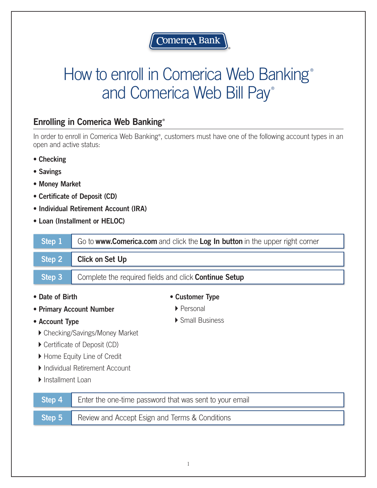

## How to enroll in Comerica Web Banking® and Comerica Web Bill Pay®

## Enrolling in Comerica Web Banking®

In order to enroll in Comerica Web Banking®, customers must have one of the following account types in an open and active status:

- Checking
- Savings
- Money Market
- Certificate of Deposit (CD)
- Individual Retirement Account (IRA)
- Loan (Installment or HELOC)

| Step 1                                 |                        | Go to www.Comerica.com and click the Log In button in the upper right corner |
|----------------------------------------|------------------------|------------------------------------------------------------------------------|
| Step 2                                 | <b>Click on Set Up</b> |                                                                              |
| Step 3                                 |                        | Complete the required fields and click <b>Continue Setup</b>                 |
| • Date of Birth                        |                        | • Customer Type                                                              |
| • Primary Account Number               |                        | ▶ Personal                                                                   |
| • Account Type                         |                        | ▶ Small Business                                                             |
| ▶ Checking/Savings/Money Market        |                        |                                                                              |
| ▶ Certificate of Deposit (CD)          |                        |                                                                              |
| ▶ Home Equity Line of Credit           |                        |                                                                              |
| Individual Retirement Account          |                        |                                                                              |
| $\blacktriangleright$ Installment Loan |                        |                                                                              |

| <b>Step 4</b> Enter the one-time password that was sent to your email |  |
|-----------------------------------------------------------------------|--|
| <b>Step 5</b> Review and Accept Esign and Terms & Conditions          |  |